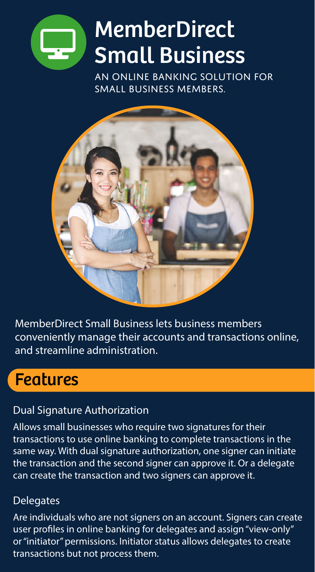

# **MemberDirect** Small Business

An online banking solution for small business members.



MemberDirect Small Business lets business members conveniently manage their accounts and transactions online, and streamline administration.

# Features

### Dual Signature Authorization

Allows small businesses who require two signatures for their transactions to use online banking to complete transactions in the same way. With dual signature authorization, one signer can initiate the transaction and the second signer can approve it. Or a delegate can create the transaction and two signers can approve it.

### **Delegates**

Are individuals who are not signers on an account. Signers can create user profiles in online banking for delegates and assign "view-only" or "initiator" permissions. Initiator status allows delegates to create transactions but not process them.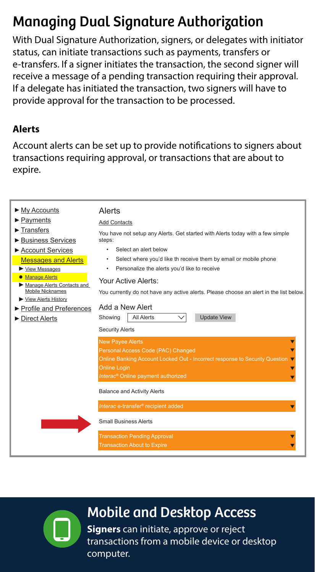# Managing Dual Signature Authorization

With Dual Signature Authorization, signers, or delegates with initiator status, can initiate transactions such as payments, transfers or e-transfers. If a signer initiates the transaction, the second signer will receive a message of a pending transaction requiring their approval. If a delegate has initiated the transaction, two signers will have to provide approval for the transaction to be processed.

#### **Alerts**

Account alerts can be set up to provide notifications to signers about transactions requiring approval, or transactions that are about to expire.

| $ightharpoonright$ My Accounts<br>▶ Payments<br>$\blacktriangleright$ Transfers<br>▶ Business Services<br>▶ Account Services<br><b>Messages and Alerts</b><br>▶ View Messages<br><b>• Manage Alerts</b><br>Manage Alerts Contacts and<br>Mobile Nicknames<br>View Alerts History<br>▶ Profile and Preferences<br>▶ Direct Alerts | Alerts<br><b>Add Contacts</b><br>You have not setup any Alerts. Get started with Alerts today with a few simple<br>steps:<br>Select an alert below<br>Select where you'd like th receive them by email or mobile phone<br>٠<br>Personalize the alerts you'd like to receive<br>٠<br>Your Active Alerts:<br>You currently do not have any active alerts. Please choose an alert in the list below.<br>Add a New Alert<br><b>All Alerts</b><br><b>Update View</b><br>Showing |  |
|----------------------------------------------------------------------------------------------------------------------------------------------------------------------------------------------------------------------------------------------------------------------------------------------------------------------------------|----------------------------------------------------------------------------------------------------------------------------------------------------------------------------------------------------------------------------------------------------------------------------------------------------------------------------------------------------------------------------------------------------------------------------------------------------------------------------|--|
|                                                                                                                                                                                                                                                                                                                                  | <b>Security Alerts</b><br><b>New Payee Alerts</b><br>Personal Access Code (PAC) Changed<br>Online Banking Account Locked Out - Incorrect response to Security Question<br><b>Online Login</b><br>Interac <sup>®</sup> Online payment authorized<br><b>Balance and Activity Alerts</b><br>Interac e-transfer <sup>®</sup> recipient added<br><b>Small Business Alerts</b><br><b>Transaction Pending Approval</b><br><b>Transaction About to Expire</b>                      |  |

# Mobile and Desktop Access

**Signers** can initiate, approve or reject transactions from a mobile device or desktop computer.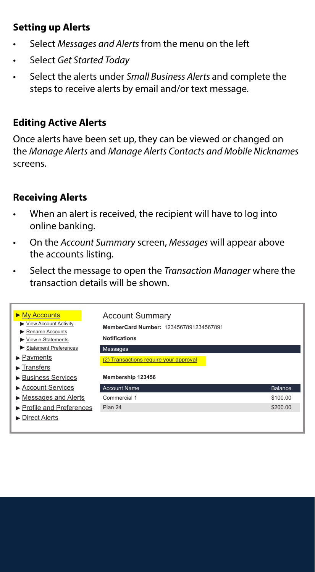### **Setting up Alerts**

- Select *Messages and Alerts* from the menu on the left
- Select *Get Started Today*
- Select the alerts under *Small Business Alerts* and complete the steps to receive alerts by email and/or text message.

### **Editing Active Alerts**

Once alerts have been set up, they can be viewed or changed on the *Manage Alerts* and *Manage Alerts Contacts and Mobile Nicknames* screens.

### **Receiving Alerts**

- When an alert is received, the recipient will have to log into online banking.
- On the *Account Summary* screen, *Messages* will appear above the accounts listing.
- Select the message to open the *Transaction Manager* where the transaction details will be shown.

| $\triangleright$ My Accounts<br>▶ View Account Activity<br>Rename Accounts<br>$\blacktriangleright$ View e-Statements<br>Statement Preferences<br>$\blacktriangleright$ Payments<br>$\blacktriangleright$ Transfers<br>▶ Business Services | <b>Account Summary</b><br>MemberCard Number: 1234567891234567891<br><b>Notifications</b><br>Messages<br>(2) Transactions require your approval<br>Membership 123456 |          |  |
|--------------------------------------------------------------------------------------------------------------------------------------------------------------------------------------------------------------------------------------------|---------------------------------------------------------------------------------------------------------------------------------------------------------------------|----------|--|
| ▶ Account Services                                                                                                                                                                                                                         | <b>Account Name</b>                                                                                                                                                 | Balance  |  |
| $\triangleright$ Messages and Alerts                                                                                                                                                                                                       | Commercial 1                                                                                                                                                        | \$100.00 |  |
| ▶ Profile and Preferences                                                                                                                                                                                                                  | Plan 24                                                                                                                                                             | \$200.00 |  |
| $\blacktriangleright$ Direct Alerts                                                                                                                                                                                                        |                                                                                                                                                                     |          |  |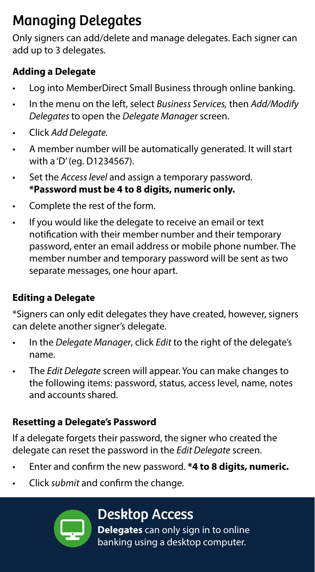# Managing Delegates

Only signers can add/delete and manage delegates. Each signer can add up to 3 delegates.

### **Adding a Delegate**

- Log into MemberDirect Small Business through online banking.
- In the menu on the left, select *Business Services,* then *Add/Modify Delegates* to open the *Delegate Manager* screen.
- Click *Add Delegate.*
- A member number will be automatically generated. It will start with a 'D' (eg. D1234567).
- Set the *Access level* and assign a temporary password. **\*Password must be 4 to 8 digits, numeric only.**
- Complete the rest of the form.
- If you would like the delegate to receive an email or text notification with their member number and their temporary password, enter an email address or mobile phone number. The member number and temporary password will be sent as two separate messages, one hour apart.

# **Editing a Delegate**

\*Signers can only edit delegates they have created, however, signers can delete another signer's delegate.

- In the *Delegate Manager*, click *Edit* to the right of the delegate's name.
- The *Edit Delegate* screen will appear. You can make changes to the following items: password, status, access level, name, notes and accounts shared.

# **Resetting a Delegate's Password**

If a delegate forgets their password, the signer who created the delegate can reset the password in the *Edit Delegate* screen.

- Enter and confirm the new password. **\*4 to 8 digits, numeric.**
- Click *submit* and confirm the change.



# Desktop Access

**Delegates** can only sign in to online banking using a desktop computer.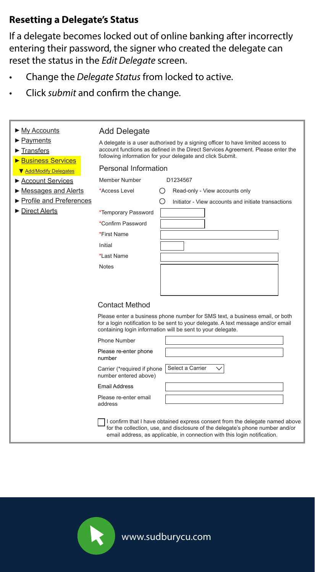#### **Resetting a Delegate's Status**

If a delegate becomes locked out of online banking after incorrectly entering their password, the signer who created the delegate can reset the status in the *Edit Delegate* screen.

- Change the *Delegate Status* from locked to active.
- Click *submit* and confirm the change.

| ► My Accounts             | Add Delegate                                                                                                                                                                                                                     |                                                                                                                                                                                                                                            |  |  |
|---------------------------|----------------------------------------------------------------------------------------------------------------------------------------------------------------------------------------------------------------------------------|--------------------------------------------------------------------------------------------------------------------------------------------------------------------------------------------------------------------------------------------|--|--|
| ► Payments                | A delegate is a user authorixed by a signing officer to have limited access to                                                                                                                                                   |                                                                                                                                                                                                                                            |  |  |
| Transfers                 | account functions as defined in the Direct Services Agreement. Please enter the<br>following information for your delegate and click Submit.                                                                                     |                                                                                                                                                                                                                                            |  |  |
| <b>Business Services</b>  |                                                                                                                                                                                                                                  |                                                                                                                                                                                                                                            |  |  |
| ▼ Add/Modify Delegates    | Personal Information                                                                                                                                                                                                             |                                                                                                                                                                                                                                            |  |  |
| ► Account Services        | Member Number                                                                                                                                                                                                                    | D1234567                                                                                                                                                                                                                                   |  |  |
| Messages and Alerts       | *Access Level                                                                                                                                                                                                                    | Read-only - View accounts only<br>$\left( \ \right)$                                                                                                                                                                                       |  |  |
| ▶ Profile and Preferences |                                                                                                                                                                                                                                  | Initiator - View accounts and initiate transactions<br>()                                                                                                                                                                                  |  |  |
| Direct Alerts             | *Temporary Password                                                                                                                                                                                                              |                                                                                                                                                                                                                                            |  |  |
|                           | *Confirm Password                                                                                                                                                                                                                |                                                                                                                                                                                                                                            |  |  |
|                           | *First Name                                                                                                                                                                                                                      |                                                                                                                                                                                                                                            |  |  |
|                           | Initial                                                                                                                                                                                                                          |                                                                                                                                                                                                                                            |  |  |
|                           | *Last Name                                                                                                                                                                                                                       |                                                                                                                                                                                                                                            |  |  |
|                           | <b>Notes</b>                                                                                                                                                                                                                     |                                                                                                                                                                                                                                            |  |  |
|                           |                                                                                                                                                                                                                                  |                                                                                                                                                                                                                                            |  |  |
|                           |                                                                                                                                                                                                                                  |                                                                                                                                                                                                                                            |  |  |
|                           |                                                                                                                                                                                                                                  |                                                                                                                                                                                                                                            |  |  |
|                           | <b>Contact Method</b>                                                                                                                                                                                                            |                                                                                                                                                                                                                                            |  |  |
|                           | Please enter a business phone number for SMS text, a business email, or both<br>for a login notification to be sent to your delegate. A text message and/or email<br>containing login information will be sent to your delegate. |                                                                                                                                                                                                                                            |  |  |
|                           | Phone Number                                                                                                                                                                                                                     |                                                                                                                                                                                                                                            |  |  |
|                           | Please re-enter phone<br>number                                                                                                                                                                                                  |                                                                                                                                                                                                                                            |  |  |
|                           | Carrier (*required if phone<br>number entered above)                                                                                                                                                                             | Select a Carrier                                                                                                                                                                                                                           |  |  |
|                           | <b>Email Address</b>                                                                                                                                                                                                             |                                                                                                                                                                                                                                            |  |  |
|                           | Please re-enter email<br>address                                                                                                                                                                                                 |                                                                                                                                                                                                                                            |  |  |
|                           |                                                                                                                                                                                                                                  | I confirm that I have obtained express consent from the delegate named above<br>for the collection, use, and disclosure of the delegate's phone number and/or<br>email address, as applicable, in connection with this login notification. |  |  |